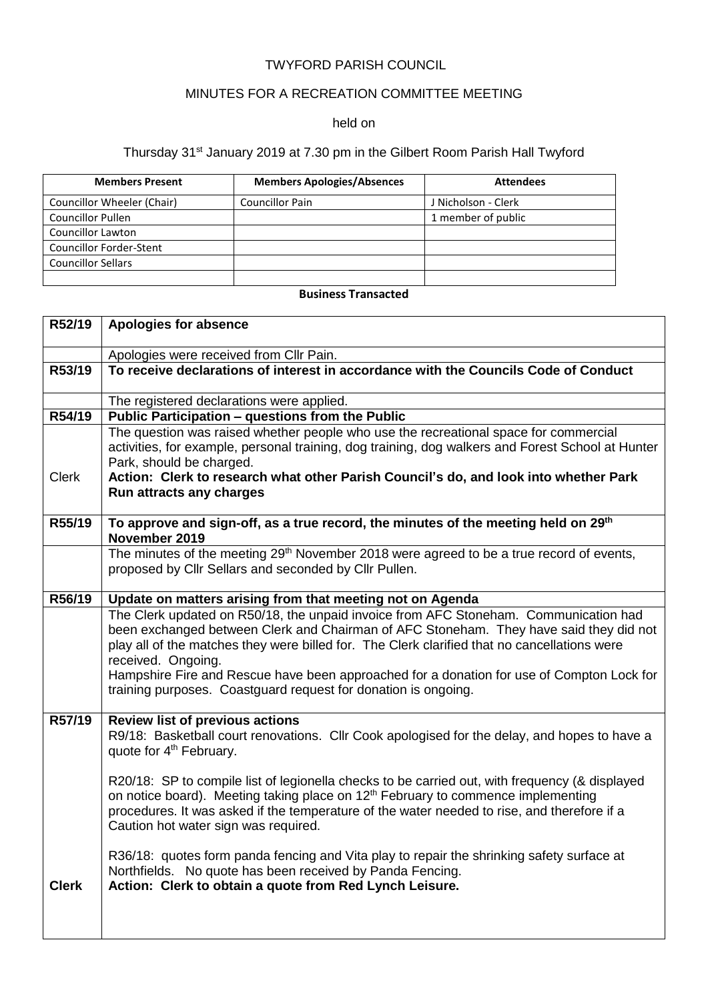### TWYFORD PARISH COUNCIL

# MINUTES FOR A RECREATION COMMITTEE MEETING

#### held on

# Thursday 31<sup>st</sup> January 2019 at 7.30 pm in the Gilbert Room Parish Hall Twyford

| <b>Members Present</b>         | <b>Members Apologies/Absences</b> | <b>Attendees</b>    |
|--------------------------------|-----------------------------------|---------------------|
| Councillor Wheeler (Chair)     | <b>Councillor Pain</b>            | J Nicholson - Clerk |
| <b>Councillor Pullen</b>       |                                   | 1 member of public  |
| <b>Councillor Lawton</b>       |                                   |                     |
| <b>Councillor Forder-Stent</b> |                                   |                     |
| <b>Councillor Sellars</b>      |                                   |                     |
|                                |                                   |                     |

### **Business Transacted**

| R52/19       | <b>Apologies for absence</b>                                                                                                                                                                                                                                                                                                          |
|--------------|---------------------------------------------------------------------------------------------------------------------------------------------------------------------------------------------------------------------------------------------------------------------------------------------------------------------------------------|
|              | Apologies were received from Cllr Pain.                                                                                                                                                                                                                                                                                               |
| R53/19       | To receive declarations of interest in accordance with the Councils Code of Conduct                                                                                                                                                                                                                                                   |
|              | The registered declarations were applied.                                                                                                                                                                                                                                                                                             |
| R54/19       | Public Participation - questions from the Public                                                                                                                                                                                                                                                                                      |
| <b>Clerk</b> | The question was raised whether people who use the recreational space for commercial<br>activities, for example, personal training, dog training, dog walkers and Forest School at Hunter<br>Park, should be charged.<br>Action: Clerk to research what other Parish Council's do, and look into whether Park                         |
|              | Run attracts any charges                                                                                                                                                                                                                                                                                                              |
| R55/19       | To approve and sign-off, as a true record, the minutes of the meeting held on 29 <sup>th</sup><br>November 2019                                                                                                                                                                                                                       |
|              | The minutes of the meeting 29 <sup>th</sup> November 2018 were agreed to be a true record of events,<br>proposed by Cllr Sellars and seconded by Cllr Pullen.                                                                                                                                                                         |
| R56/19       | Update on matters arising from that meeting not on Agenda                                                                                                                                                                                                                                                                             |
|              | The Clerk updated on R50/18, the unpaid invoice from AFC Stoneham. Communication had<br>been exchanged between Clerk and Chairman of AFC Stoneham. They have said they did not<br>play all of the matches they were billed for. The Clerk clarified that no cancellations were<br>received. Ongoing.                                  |
|              | Hampshire Fire and Rescue have been approached for a donation for use of Compton Lock for<br>training purposes. Coastguard request for donation is ongoing.                                                                                                                                                                           |
| R57/19       | <b>Review list of previous actions</b><br>R9/18: Basketball court renovations. Cllr Cook apologised for the delay, and hopes to have a<br>quote for 4 <sup>th</sup> February.                                                                                                                                                         |
|              | R20/18: SP to compile list of legionella checks to be carried out, with frequency (& displayed<br>on notice board). Meeting taking place on 12 <sup>th</sup> February to commence implementing<br>procedures. It was asked if the temperature of the water needed to rise, and therefore if a<br>Caution hot water sign was required. |
| <b>Clerk</b> | R36/18: quotes form panda fencing and Vita play to repair the shrinking safety surface at<br>Northfields. No quote has been received by Panda Fencing.<br>Action: Clerk to obtain a quote from Red Lynch Leisure.                                                                                                                     |
|              |                                                                                                                                                                                                                                                                                                                                       |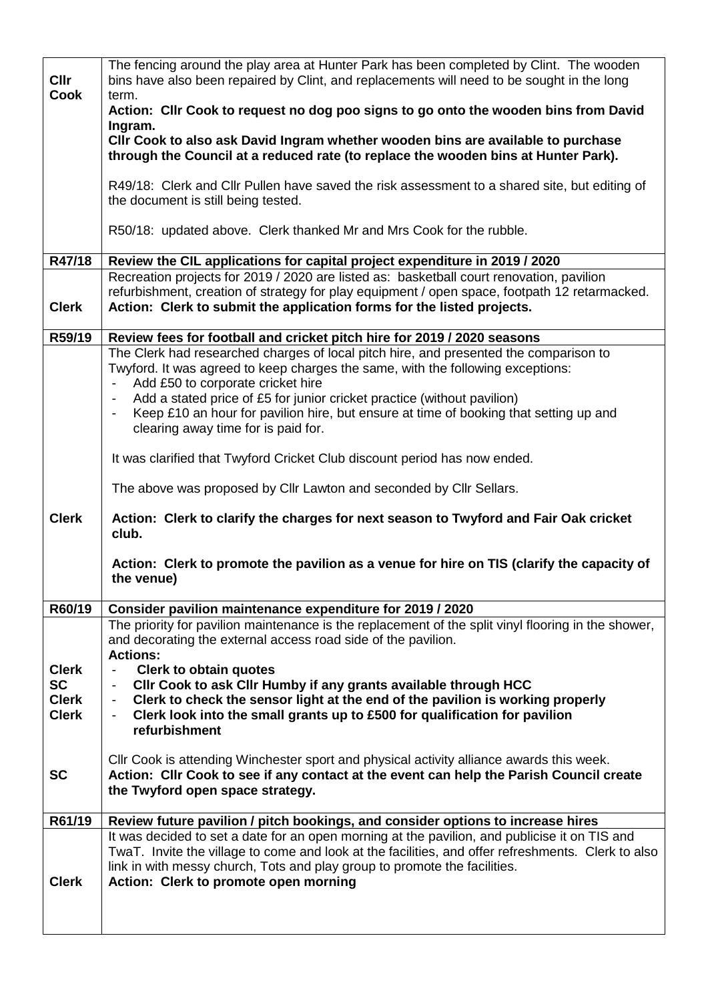| <b>CIIr</b><br><b>Cook</b> | The fencing around the play area at Hunter Park has been completed by Clint. The wooden<br>bins have also been repaired by Clint, and replacements will need to be sought in the long<br>term.                                                                                                                            |
|----------------------------|---------------------------------------------------------------------------------------------------------------------------------------------------------------------------------------------------------------------------------------------------------------------------------------------------------------------------|
|                            | Action: Cllr Cook to request no dog poo signs to go onto the wooden bins from David<br>Ingram.                                                                                                                                                                                                                            |
|                            | CIIr Cook to also ask David Ingram whether wooden bins are available to purchase<br>through the Council at a reduced rate (to replace the wooden bins at Hunter Park).                                                                                                                                                    |
|                            | R49/18: Clerk and Cllr Pullen have saved the risk assessment to a shared site, but editing of<br>the document is still being tested.                                                                                                                                                                                      |
|                            | R50/18: updated above. Clerk thanked Mr and Mrs Cook for the rubble.                                                                                                                                                                                                                                                      |
| R47/18                     | Review the CIL applications for capital project expenditure in 2019 / 2020                                                                                                                                                                                                                                                |
| <b>Clerk</b>               | Recreation projects for 2019 / 2020 are listed as: basketball court renovation, pavilion<br>refurbishment, creation of strategy for play equipment / open space, footpath 12 retarmacked.<br>Action: Clerk to submit the application forms for the listed projects.                                                       |
| R59/19                     | Review fees for football and cricket pitch hire for 2019 / 2020 seasons                                                                                                                                                                                                                                                   |
|                            | The Clerk had researched charges of local pitch hire, and presented the comparison to<br>Twyford. It was agreed to keep charges the same, with the following exceptions:<br>Add £50 to corporate cricket hire                                                                                                             |
|                            | Add a stated price of £5 for junior cricket practice (without pavilion)<br>Keep £10 an hour for pavilion hire, but ensure at time of booking that setting up and<br>clearing away time for is paid for.                                                                                                                   |
|                            | It was clarified that Twyford Cricket Club discount period has now ended.                                                                                                                                                                                                                                                 |
|                            | The above was proposed by Cllr Lawton and seconded by Cllr Sellars.                                                                                                                                                                                                                                                       |
| <b>Clerk</b>               | Action: Clerk to clarify the charges for next season to Twyford and Fair Oak cricket<br>club.                                                                                                                                                                                                                             |
|                            | Action: Clerk to promote the pavilion as a venue for hire on TIS (clarify the capacity of<br>the venue)                                                                                                                                                                                                                   |
| R60/19                     | Consider pavilion maintenance expenditure for 2019 / 2020                                                                                                                                                                                                                                                                 |
|                            | The priority for pavilion maintenance is the replacement of the split vinyl flooring in the shower,<br>and decorating the external access road side of the pavilion.<br><b>Actions:</b>                                                                                                                                   |
| <b>Clerk</b>               | <b>Clerk to obtain quotes</b>                                                                                                                                                                                                                                                                                             |
| <b>SC</b>                  | Cllr Cook to ask Cllr Humby if any grants available through HCC                                                                                                                                                                                                                                                           |
| <b>Clerk</b>               | Clerk to check the sensor light at the end of the pavilion is working properly<br>$\blacksquare$                                                                                                                                                                                                                          |
| <b>Clerk</b>               | Clerk look into the small grants up to £500 for qualification for pavilion<br>$\sim$<br>refurbishment                                                                                                                                                                                                                     |
| <b>SC</b>                  | CIIr Cook is attending Winchester sport and physical activity alliance awards this week.<br>Action: Cllr Cook to see if any contact at the event can help the Parish Council create<br>the Twyford open space strategy.                                                                                                   |
|                            |                                                                                                                                                                                                                                                                                                                           |
| R61/19                     | Review future pavilion / pitch bookings, and consider options to increase hires                                                                                                                                                                                                                                           |
| <b>Clerk</b>               | It was decided to set a date for an open morning at the pavilion, and publicise it on TIS and<br>TwaT. Invite the village to come and look at the facilities, and offer refreshments. Clerk to also<br>link in with messy church, Tots and play group to promote the facilities.<br>Action: Clerk to promote open morning |
|                            |                                                                                                                                                                                                                                                                                                                           |